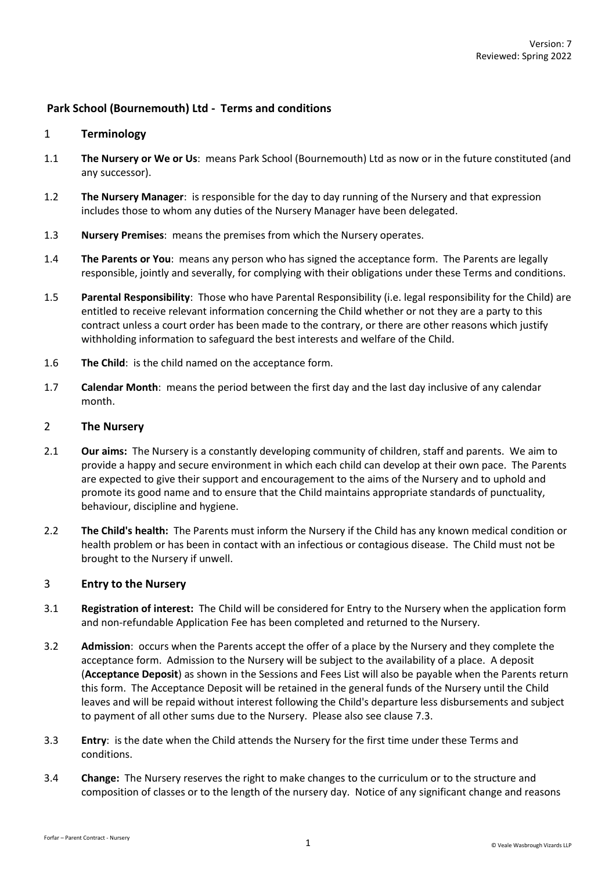# **Park School (Bournemouth) Ltd - Terms and conditions**

### 1 **Terminology**

- 1.1 **The Nursery or We or Us**: means Park School (Bournemouth) Ltd as now or in the future constituted (and any successor).
- 1.2 **The Nursery Manager**: is responsible for the day to day running of the Nursery and that expression includes those to whom any duties of the Nursery Manager have been delegated.
- 1.3 **Nursery Premises**: means the premises from which the Nursery operates.
- 1.4 **The Parents or You**: means any person who has signed the acceptance form. The Parents are legally responsible, jointly and severally, for complying with their obligations under these Terms and conditions.
- 1.5 **Parental Responsibility**: Those who have Parental Responsibility (i.e. legal responsibility for the Child) are entitled to receive relevant information concerning the Child whether or not they are a party to this contract unless a court order has been made to the contrary, or there are other reasons which justify withholding information to safeguard the best interests and welfare of the Child.
- 1.6 **The Child**: is the child named on the acceptance form.
- 1.7 **Calendar Month**: means the period between the first day and the last day inclusive of any calendar month.

### 2 **The Nursery**

- 2.1 **Our aims:** The Nursery is a constantly developing community of children, staff and parents. We aim to provide a happy and secure environment in which each child can develop at their own pace. The Parents are expected to give their support and encouragement to the aims of the Nursery and to uphold and promote its good name and to ensure that the Child maintains appropriate standards of punctuality, behaviour, discipline and hygiene.
- 2.2 **The Child's health:** The Parents must inform the Nursery if the Child has any known medical condition or health problem or has been in contact with an infectious or contagious disease. The Child must not be brought to the Nursery if unwell.

# 3 **Entry to the Nursery**

- 3.1 **Registration of interest:** The Child will be considered for Entry to the Nursery when the application form and non-refundable Application Fee has been completed and returned to the Nursery.
- 3.2 **Admission**: occurs when the Parents accept the offer of a place by the Nursery and they complete the acceptance form. Admission to the Nursery will be subject to the availability of a place. A deposit (**Acceptance Deposit**) as shown in the Sessions and Fees List will also be payable when the Parents return this form. The Acceptance Deposit will be retained in the general funds of the Nursery until the Child leaves and will be repaid without interest following the Child's departure less disbursements and subject to payment of all other sums due to the Nursery. Please also see claus[e 7.3.](#page-4-0)
- <span id="page-0-0"></span>3.3 **Entry**: is the date when the Child attends the Nursery for the first time under these Terms and conditions.
- 3.4 **Change:** The Nursery reserves the right to make changes to the curriculum or to the structure and composition of classes or to the length of the nursery day. Notice of any significant change and reasons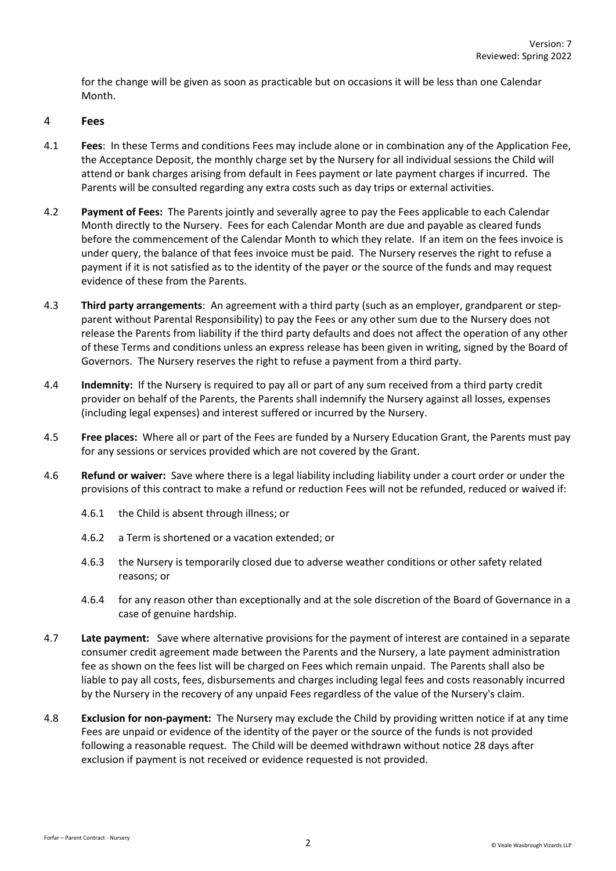for the change will be given as soon as practicable but on occasions it will be less than one Calendar Month.

#### 4 **Fees**

- 4.1 **Fees**: In these Terms and conditions Fees may include alone or in combination any of the Application Fee, the Acceptance Deposit, the monthly charge set by the Nursery for all individual sessions the Child will attend or bank charges arising from default in Fees payment or late payment charges if incurred. The Parents will be consulted regarding any extra costs such as day trips or external activities.
- 4.2 **Payment of Fees:** The Parents jointly and severally agree to pay the Fees applicable to each Calendar Month directly to the Nursery. Fees for each Calendar Month are due and payable as cleared funds before the commencement of the Calendar Month to which they relate. If an item on the fees invoice is under query, the balance of that fees invoice must be paid. The Nursery reserves the right to refuse a payment if it is not satisfied as to the identity of the payer or the source of the funds and may request evidence of these from the Parents.
- 4.3 **Third party arrangements**: An agreement with a third party (such as an employer, grandparent or stepparent without Parental Responsibility) to pay the Fees or any other sum due to the Nursery does not release the Parents from liability if the third party defaults and does not affect the operation of any other of these Terms and conditions unless an express release has been given in writing, signed by the Board of Governors. The Nursery reserves the right to refuse a payment from a third party.
- 4.4 **Indemnity:** If the Nursery is required to pay all or part of any sum received from a third party credit provider on behalf of the Parents, the Parents shall indemnify the Nursery against all losses, expenses (including legal expenses) and interest suffered or incurred by the Nursery.
- 4.5 **Free places:** Where all or part of the Fees are funded by a Nursery Education Grant, the Parents must pay for any sessions or services provided which are not covered by the Grant.
- 4.6 **Refund or waiver:** Save where there is a legal liability including liability under a court order or under the provisions of this contract to make a refund or reduction Fees will not be refunded, reduced or waived if:
	- 4.6.1 the Child is absent through illness; or
	- 4.6.2 a Term is shortened or a vacation extended; or
	- 4.6.3 the Nursery is temporarily closed due to adverse weather conditions or other safety related reasons; or
	- 4.6.4 for any reason other than exceptionally and at the sole discretion of the Board of Governance in a case of genuine hardship.
- 4.7 **Late payment:** Save where alternative provisions for the payment of interest are contained in a separate consumer credit agreement made between the Parents and the Nursery, a late payment administration fee as shown on the fees list will be charged on Fees which remain unpaid. The Parents shall also be liable to pay all costs, fees, disbursements and charges including legal fees and costs reasonably incurred by the Nursery in the recovery of any unpaid Fees regardless of the value of the Nursery's claim.
- 4.8 **Exclusion for non-payment:** The Nursery may exclude the Child by providing written notice if at any time Fees are unpaid or evidence of the identity of the payer or the source of the funds is not provided following a reasonable request. The Child will be deemed withdrawn without notice 28 days after exclusion if payment is not received or evidence requested is not provided.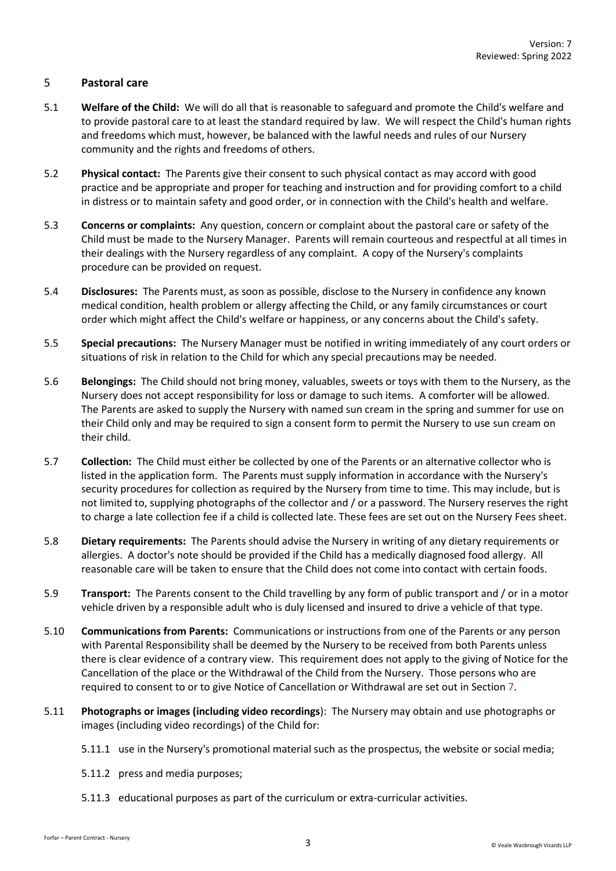## 5 **Pastoral care**

- 5.1 **Welfare of the Child:** We will do all that is reasonable to safeguard and promote the Child's welfare and to provide pastoral care to at least the standard required by law. We will respect the Child's human rights and freedoms which must, however, be balanced with the lawful needs and rules of our Nursery community and the rights and freedoms of others.
- 5.2 **Physical contact:** The Parents give their consent to such physical contact as may accord with good practice and be appropriate and proper for teaching and instruction and for providing comfort to a child in distress or to maintain safety and good order, or in connection with the Child's health and welfare.
- 5.3 **Concerns or complaints:** Any question, concern or complaint about the pastoral care or safety of the Child must be made to the Nursery Manager. Parents will remain courteous and respectful at all times in their dealings with the Nursery regardless of any complaint. A copy of the Nursery's complaints procedure can be provided on request.
- 5.4 **Disclosures:** The Parents must, as soon as possible, disclose to the Nursery in confidence any known medical condition, health problem or allergy affecting the Child, or any family circumstances or court order which might affect the Child's welfare or happiness, or any concerns about the Child's safety.
- 5.5 **Special precautions:** The Nursery Manager must be notified in writing immediately of any court orders or situations of risk in relation to the Child for which any special precautions may be needed.
- 5.6 **Belongings:** The Child should not bring money, valuables, sweets or toys with them to the Nursery, as the Nursery does not accept responsibility for loss or damage to such items. A comforter will be allowed. The Parents are asked to supply the Nursery with named sun cream in the spring and summer for use on their Child only and may be required to sign a consent form to permit the Nursery to use sun cream on their child.
- 5.7 **Collection:** The Child must either be collected by one of the Parents or an alternative collector who is listed in the application form. The Parents must supply information in accordance with the Nursery's security procedures for collection as required by the Nursery from time to time. This may include, but is not limited to, supplying photographs of the collector and / or a password. The Nursery reserves the right to charge a late collection fee if a child is collected late. These fees are set out on the Nursery Fees sheet.
- 5.8 **Dietary requirements:** The Parents should advise the Nursery in writing of any dietary requirements or allergies. A doctor's note should be provided if the Child has a medically diagnosed food allergy. All reasonable care will be taken to ensure that the Child does not come into contact with certain foods.
- 5.9 **Transport:** The Parents consent to the Child travelling by any form of public transport and / or in a motor vehicle driven by a responsible adult who is duly licensed and insured to drive a vehicle of that type.
- 5.10 **Communications from Parents:** Communications or instructions from one of the Parents or any person with Parental Responsibility shall be deemed by the Nursery to be received from both Parents unless there is clear evidence of a contrary view. This requirement does not apply to the giving of Notice for the Cancellation of the place or the Withdrawal of the Child from the Nursery. Those persons who are required to consent to or to give Notice of Cancellation or Withdrawal are set out in Section [7.](#page-3-0)
- 5.11 **Photographs or images (including video recordings**): The Nursery may obtain and use photographs or images (including video recordings) of the Child for:
	- 5.11.1 use in the Nursery's promotional material such as the prospectus, the website or social media;
	- 5.11.2 press and media purposes;
	- 5.11.3 educational purposes as part of the curriculum or extra-curricular activities.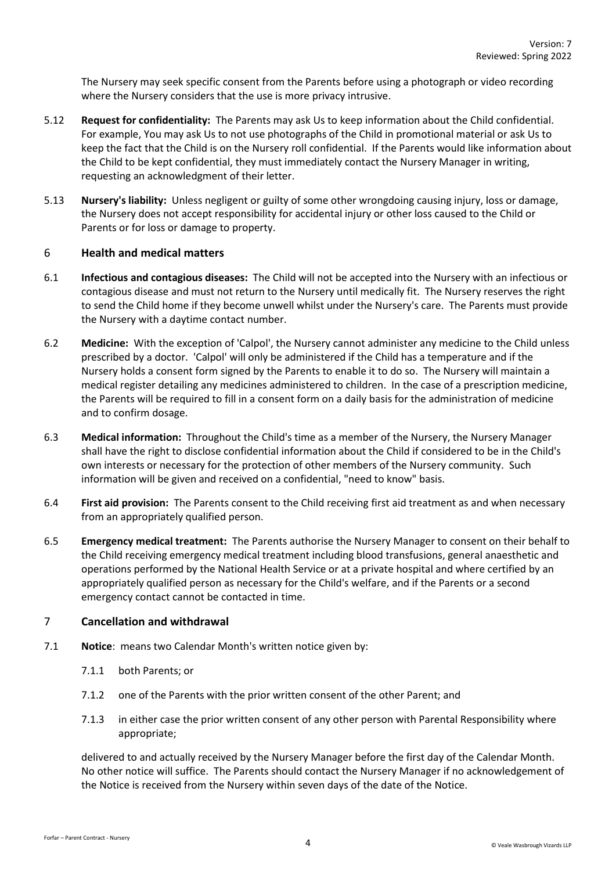The Nursery may seek specific consent from the Parents before using a photograph or video recording where the Nursery considers that the use is more privacy intrusive.

- 5.12 **Request for confidentiality:** The Parents may ask Us to keep information about the Child confidential. For example, You may ask Us to not use photographs of the Child in promotional material or ask Us to keep the fact that the Child is on the Nursery roll confidential. If the Parents would like information about the Child to be kept confidential, they must immediately contact the Nursery Manager in writing, requesting an acknowledgment of their letter.
- 5.13 **Nursery's liability:** Unless negligent or guilty of some other wrongdoing causing injury, loss or damage, the Nursery does not accept responsibility for accidental injury or other loss caused to the Child or Parents or for loss or damage to property.

## 6 **Health and medical matters**

- 6.1 **Infectious and contagious diseases:** The Child will not be accepted into the Nursery with an infectious or contagious disease and must not return to the Nursery until medically fit. The Nursery reserves the right to send the Child home if they become unwell whilst under the Nursery's care. The Parents must provide the Nursery with a daytime contact number.
- 6.2 **Medicine:** With the exception of 'Calpol', the Nursery cannot administer any medicine to the Child unless prescribed by a doctor. 'Calpol' will only be administered if the Child has a temperature and if the Nursery holds a consent form signed by the Parents to enable it to do so. The Nursery will maintain a medical register detailing any medicines administered to children. In the case of a prescription medicine, the Parents will be required to fill in a consent form on a daily basis for the administration of medicine and to confirm dosage.
- 6.3 **Medical information:** Throughout the Child's time as a member of the Nursery, the Nursery Manager shall have the right to disclose confidential information about the Child if considered to be in the Child's own interests or necessary for the protection of other members of the Nursery community. Such information will be given and received on a confidential, "need to know" basis.
- 6.4 **First aid provision:** The Parents consent to the Child receiving first aid treatment as and when necessary from an appropriately qualified person.
- 6.5 **Emergency medical treatment:** The Parents authorise the Nursery Manager to consent on their behalf to the Child receiving emergency medical treatment including blood transfusions, general anaesthetic and operations performed by the National Health Service or at a private hospital and where certified by an appropriately qualified person as necessary for the Child's welfare, and if the Parents or a second emergency contact cannot be contacted in time.

### <span id="page-3-0"></span>7 **Cancellation and withdrawal**

- 7.1 **Notice**: means two Calendar Month's written notice given by:
	- 7.1.1 both Parents; or
	- 7.1.2 one of the Parents with the prior written consent of the other Parent; and
	- 7.1.3 in either case the prior written consent of any other person with Parental Responsibility where appropriate;

delivered to and actually received by the Nursery Manager before the first day of the Calendar Month. No other notice will suffice. The Parents should contact the Nursery Manager if no acknowledgement of the Notice is received from the Nursery within seven days of the date of the Notice.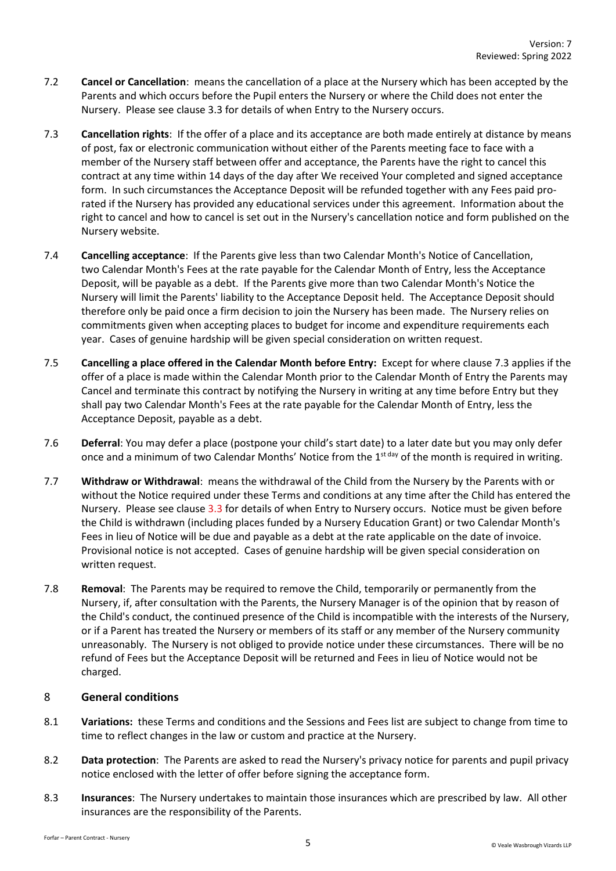- 7.2 **Cancel or Cancellation**: means the cancellation of a place at the Nursery which has been accepted by the Parents and which occurs before the Pupil enters the Nursery or where the Child does not enter the Nursery. Please see clause [3.3](#page-0-0) for details of when Entry to the Nursery occurs.
- <span id="page-4-0"></span>7.3 **Cancellation rights**: If the offer of a place and its acceptance are both made entirely at distance by means of post, fax or electronic communication without either of the Parents meeting face to face with a member of the Nursery staff between offer and acceptance, the Parents have the right to cancel this contract at any time within 14 days of the day after We received Your completed and signed acceptance form. In such circumstances the Acceptance Deposit will be refunded together with any Fees paid prorated if the Nursery has provided any educational services under this agreement. Information about the right to cancel and how to cancel is set out in the Nursery's cancellation notice and form published on the Nursery website.
- 7.4 **Cancelling acceptance**: If the Parents give less than two Calendar Month's Notice of Cancellation, two Calendar Month's Fees at the rate payable for the Calendar Month of Entry, less the Acceptance Deposit, will be payable as a debt. If the Parents give more than two Calendar Month's Notice the Nursery will limit the Parents' liability to the Acceptance Deposit held. The Acceptance Deposit should therefore only be paid once a firm decision to join the Nursery has been made. The Nursery relies on commitments given when accepting places to budget for income and expenditure requirements each year. Cases of genuine hardship will be given special consideration on written request.
- 7.5 **Cancelling a place offered in the Calendar Month before Entry:** Except for where clause [7.3](#page-4-0) applies if the offer of a place is made within the Calendar Month prior to the Calendar Month of Entry the Parents may Cancel and terminate this contract by notifying the Nursery in writing at any time before Entry but they shall pay two Calendar Month's Fees at the rate payable for the Calendar Month of Entry, less the Acceptance Deposit, payable as a debt.
- 7.6 **Deferral**: You may defer a place (postpone your child's start date) to a later date but you may only defer once and a minimum of two Calendar Months' Notice from the 1<sup>st day</sup> of the month is required in writing.
- 7.7 **Withdraw or Withdrawal**: means the withdrawal of the Child from the Nursery by the Parents with or without the Notice required under these Terms and conditions at any time after the Child has entered the Nursery. Please see clause [3.3](#page-0-0) for details of when Entry to Nursery occurs. Notice must be given before the Child is withdrawn (including places funded by a Nursery Education Grant) or two Calendar Month's Fees in lieu of Notice will be due and payable as a debt at the rate applicable on the date of invoice. Provisional notice is not accepted. Cases of genuine hardship will be given special consideration on written request.
- 7.8 **Removal**: The Parents may be required to remove the Child, temporarily or permanently from the Nursery, if, after consultation with the Parents, the Nursery Manager is of the opinion that by reason of the Child's conduct, the continued presence of the Child is incompatible with the interests of the Nursery, or if a Parent has treated the Nursery or members of its staff or any member of the Nursery community unreasonably. The Nursery is not obliged to provide notice under these circumstances. There will be no refund of Fees but the Acceptance Deposit will be returned and Fees in lieu of Notice would not be charged.

# 8 **General conditions**

- 8.1 **Variations:** these Terms and conditions and the Sessions and Fees list are subject to change from time to time to reflect changes in the law or custom and practice at the Nursery.
- 8.2 **Data protection**: The Parents are asked to read the Nursery's privacy notice for parents and pupil privacy notice enclosed with the letter of offer before signing the acceptance form.
- 8.3 **Insurances**: The Nursery undertakes to maintain those insurances which are prescribed by law. All other insurances are the responsibility of the Parents.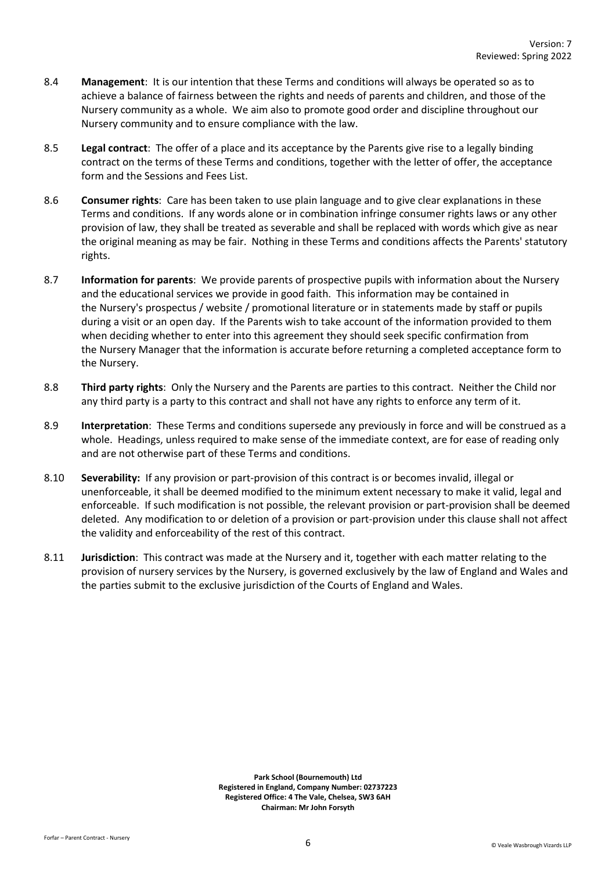- 8.4 **Management**: It is our intention that these Terms and conditions will always be operated so as to achieve a balance of fairness between the rights and needs of parents and children, and those of the Nursery community as a whole. We aim also to promote good order and discipline throughout our Nursery community and to ensure compliance with the law.
- 8.5 **Legal contract**: The offer of a place and its acceptance by the Parents give rise to a legally binding contract on the terms of these Terms and conditions, together with the letter of offer, the acceptance form and the Sessions and Fees List.
- 8.6 **Consumer rights**: Care has been taken to use plain language and to give clear explanations in these Terms and conditions. If any words alone or in combination infringe consumer rights laws or any other provision of law, they shall be treated as severable and shall be replaced with words which give as near the original meaning as may be fair. Nothing in these Terms and conditions affects the Parents' statutory rights.
- 8.7 **Information for parents**: We provide parents of prospective pupils with information about the Nursery and the educational services we provide in good faith. This information may be contained in the Nursery's prospectus / website / promotional literature or in statements made by staff or pupils during a visit or an open day. If the Parents wish to take account of the information provided to them when deciding whether to enter into this agreement they should seek specific confirmation from the Nursery Manager that the information is accurate before returning a completed acceptance form to the Nursery.
- 8.8 **Third party rights**: Only the Nursery and the Parents are parties to this contract. Neither the Child nor any third party is a party to this contract and shall not have any rights to enforce any term of it.
- 8.9 **Interpretation**: These Terms and conditions supersede any previously in force and will be construed as a whole. Headings, unless required to make sense of the immediate context, are for ease of reading only and are not otherwise part of these Terms and conditions.
- 8.10 **Severability:** If any provision or part-provision of this contract is or becomes invalid, illegal or unenforceable, it shall be deemed modified to the minimum extent necessary to make it valid, legal and enforceable. If such modification is not possible, the relevant provision or part-provision shall be deemed deleted. Any modification to or deletion of a provision or part-provision under this clause shall not affect the validity and enforceability of the rest of this contract.
- 8.11 **Jurisdiction**: This contract was made at the Nursery and it, together with each matter relating to the provision of nursery services by the Nursery, is governed exclusively by the law of England and Wales and the parties submit to the exclusive jurisdiction of the Courts of England and Wales.

**Park School (Bournemouth) Ltd Registered in England, Company Number: 02737223 Registered Office: 4 The Vale, Chelsea, SW3 6AH Chairman: Mr John Forsyth**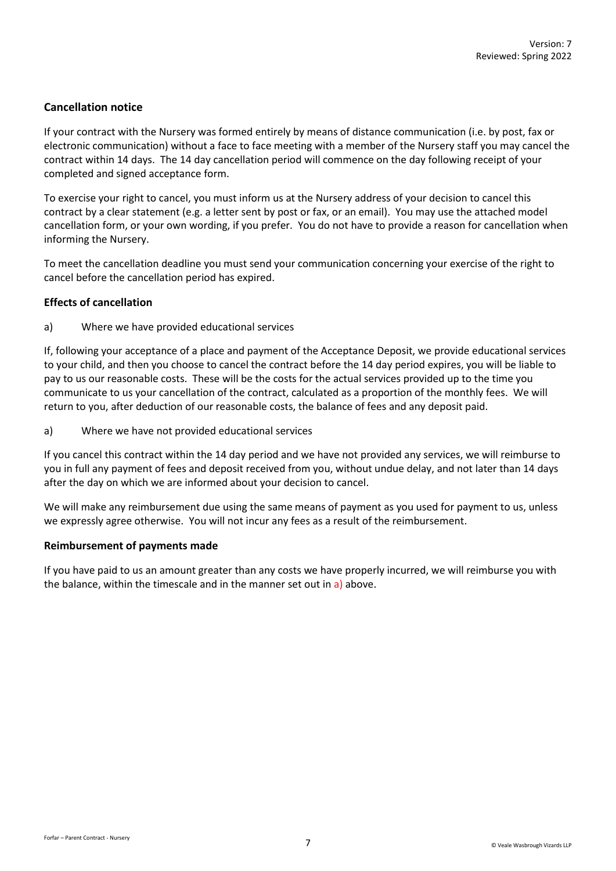# **Cancellation notice**

If your contract with the Nursery was formed entirely by means of distance communication (i.e. by post, fax or electronic communication) without a face to face meeting with a member of the Nursery staff you may cancel the contract within 14 days. The 14 day cancellation period will commence on the day following receipt of your completed and signed acceptance form.

To exercise your right to cancel, you must inform us at the Nursery address of your decision to cancel this contract by a clear statement (e.g. a letter sent by post or fax, or an email). You may use the attached model cancellation form, or your own wording, if you prefer. You do not have to provide a reason for cancellation when informing the Nursery.

To meet the cancellation deadline you must send your communication concerning your exercise of the right to cancel before the cancellation period has expired.

## **Effects of cancellation**

a) Where we have provided educational services

If, following your acceptance of a place and payment of the Acceptance Deposit, we provide educational services to your child, and then you choose to cancel the contract before the 14 day period expires, you will be liable to pay to us our reasonable costs. These will be the costs for the actual services provided up to the time you communicate to us your cancellation of the contract, calculated as a proportion of the monthly fees. We will return to you, after deduction of our reasonable costs, the balance of fees and any deposit paid.

<span id="page-6-0"></span>a) Where we have not provided educational services

If you cancel this contract within the 14 day period and we have not provided any services, we will reimburse to you in full any payment of fees and deposit received from you, without undue delay, and not later than 14 days after the day on which we are informed about your decision to cancel.

We will make any reimbursement due using the same means of payment as you used for payment to us, unless we expressly agree otherwise. You will not incur any fees as a result of the reimbursement.

### **Reimbursement of payments made**

If you have paid to us an amount greater than any costs we have properly incurred, we will reimburse you with the balance, within the timescale and in the manner set out i[n a\)](#page-6-0) above.